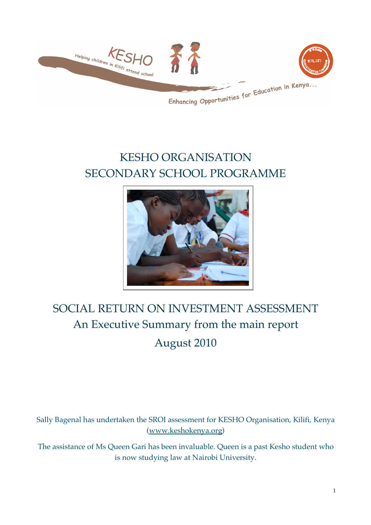

## KESHO ORGANISATION SECONDARY SCHOOL PROGRAMME



# SOCIAL RETURN ON INVESTMENT ASSESSMENT An Executive Summary from the main report August 2010

Sally Bagenal has undertaken the SROI assessment for KESHO Organisation, Kilifi, Kenya (www.keshokenya.org)

The assistance of Ms Queen Gari has been invaluable. Queen is a past Kesho student who is now studying law at Nairobi University.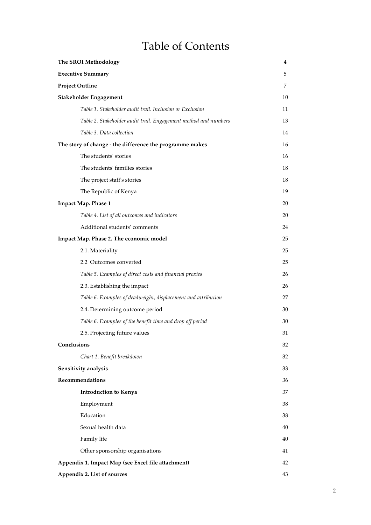### Table of Contents

| The SROI Methodology                                            | 4      |
|-----------------------------------------------------------------|--------|
| <b>Executive Summary</b>                                        | 5      |
| <b>Project Outline</b>                                          | 7      |
| Stakeholder Engagement                                          | 10     |
| Table 1. Stakeholder audit trail. Inclusion or Exclusion        | $11\,$ |
| Table 2. Stakeholder audit trail. Engagement method and numbers | 13     |
| Table 3. Data collection                                        | 14     |
| The story of change - the difference the programme makes        | 16     |
| The students' stories                                           | 16     |
| The students' families stories                                  | 18     |
| The project staff's stories                                     | 18     |
| The Republic of Kenya                                           | 19     |
| Impact Map. Phase 1                                             | 20     |
| Table 4. List of all outcomes and indicators                    | 20     |
| Additional students' comments                                   | 24     |
| Impact Map. Phase 2. The economic model                         | 25     |
| 2.1. Materiality                                                | 25     |
| 2.2 Outcomes converted                                          | 25     |
| Table 5. Examples of direct costs and financial proxies         | 26     |
| 2.3. Establishing the impact                                    | 26     |
| Table 6. Examples of deadweight, displacement and attribution   | 27     |
| 2.4. Determining outcome period                                 | 30     |
| Table 6. Examples of the benefit time and drop off period       | 30     |
| 2.5. Projecting future values                                   | 31     |
| Conclusions                                                     | 32     |
| Chart 1. Benefit breakdown                                      | 32     |
| Sensitivity analysis                                            | 33     |
| Recommendations                                                 | 36     |
| Introduction to Kenya                                           | 37     |
| Employment                                                      | 38     |
| Education                                                       | 38     |
| Sexual health data                                              | 40     |
| Family life                                                     | 40     |
| Other sponsorship organisations                                 | 41     |
| Appendix 1. Impact Map (see Excel file attachment)              | 42     |
| Appendix 2. List of sources                                     | 43     |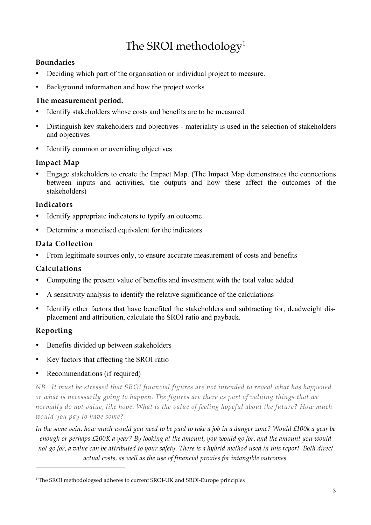### The SROI methodology<sup>1</sup>

#### **Boundaries**

- Deciding which part of the organisation or individual project to measure.
- Background information and how the project works

#### **The measurement period.**

- Identify stakeholders whose costs and benefits are to be measured.
- Distinguish key stakeholders and objectives materiality is used in the selection of stakeholders and objectives
- Identify common or overriding objectives

#### **Impact Map**

• Engage stakeholders to create the Impact Map. (The Impact Map demonstrates the connections between inputs and activities, the outputs and how these affect the outcomes of the stakeholders)

#### **Indicators**

- Identify appropriate indicators to typify an outcome
- Determine a monetised equivalent for the indicators

#### **Data Collection**

• From legitimate sources only, to ensure accurate measurement of costs and benefits

#### **Calculations**

- Computing the present value of benefits and investment with the total value added
- A sensitivity analysis to identify the relative significance of the calculations
- Identify other factors that have benefited the stakeholders and subtracting for, deadweight displacement and attribution, calculate the SROI ratio and payback.

#### **Reporting**

- Benefits divided up between stakeholders
- Key factors that affecting the SROI ratio
- Recommendations (if required)

*NB It must be stressed that SROI financial figures are not intended to reveal what has happened or what is necessarily going to happen. The figures are there as part of valuing things that we normally do not value, like hope. What is the value of feeling hopeful about the future? How much would you pay to have some?* 

*In the same vein, how much would you need to be paid to take a job in a danger zone? Would £100k a year be enough or perhaps £200K a year? By looking at the amount, you would go for, and the amount you would not go for, a value can be attributed to your safety. There is a hybrid method used in this report. Both direct actual costs, as well as the use of financial proxies for intangible outcomes.*

<sup>&</sup>lt;sup>1</sup> The SROI methodologsed adheres to current SROI-UK and SROI-Europe principles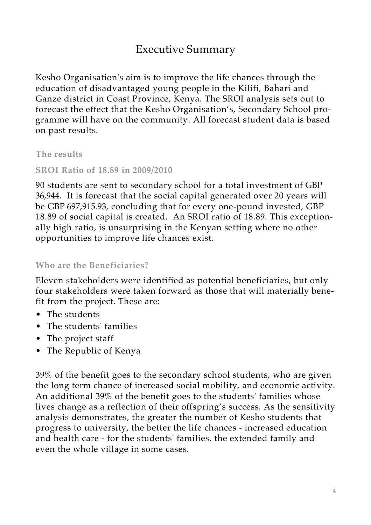### Executive Summary

Kesho Organisation's aim is to improve the life chances through the education of disadvantaged young people in the Kilifi, Bahari and Ganze district in Coast Province, Kenya. The SROI analysis sets out to forecast the effect that the Kesho Organisation's, Secondary School programme will have on the community. All forecast student data is based on past results.

**The results**

**SROI Ratio of 18.89 in 2009/2010**

90 students are sent to secondary school for a total investment of GBP 36,944. It is forecast that the social capital generated over 20 years will be GBP 697,915.93, concluding that for every one-pound invested, GBP 18.89 of social capital is created. An SROI ratio of 18.89. This exceptionally high ratio, is unsurprising in the Kenyan setting where no other opportunities to improve life chances exist.

**Who are the Beneficiaries?** 

Eleven stakeholders were identified as potential beneficiaries, but only four stakeholders were taken forward as those that will materially benefit from the project. These are:

- The students
- The students' families
- The project staff
- The Republic of Kenya

39% of the benefit goes to the secondary school students, who are given the long term chance of increased social mobility, and economic activity. An additional 39% of the benefit goes to the students' families whose lives change as a reflection of their offspring's success. As the sensitivity analysis demonstrates, the greater the number of Kesho students that progress to university, the better the life chances - increased education and health care - for the students' families, the extended family and even the whole village in some cases.